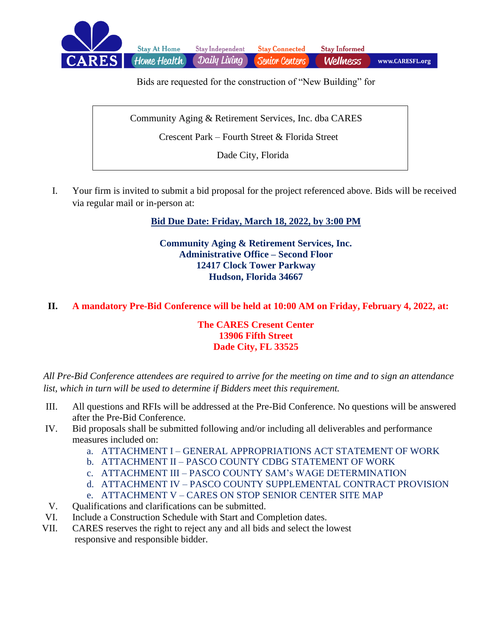

Bids are requested for the construction of "New Building" for

Community Aging & Retirement Services, Inc. dba CARES

Crescent Park – Fourth Street & Florida Street

Dade City, Florida

I. Your firm is invited to submit a bid proposal for the project referenced above. Bids will be received via regular mail or in-person at:

# **Bid Due Date: Friday, March 18, 2022, by 3:00 PM**

**Community Aging & Retirement Services, Inc. Administrative Office – Second Floor 12417 Clock Tower Parkway Hudson, Florida 34667**

# **II. A mandatory Pre-Bid Conference will be held at 10:00 AM on Friday, February 4, 2022, at:**

# **The CARES Cresent Center 13906 Fifth Street Dade City, FL 33525**

*All Pre-Bid Conference attendees are required to arrive for the meeting on time and to sign an attendance list, which in turn will be used to determine if Bidders meet this requirement.*

- III. All questions and RFIs will be addressed at the Pre-Bid Conference. No questions will be answered after the Pre-Bid Conference.
- IV. Bid proposals shall be submitted following and/or including all deliverables and performance measures included on:
	- a. ATTACHMENT I GENERAL APPROPRIATIONS ACT STATEMENT OF WORK
	- b. ATTACHMENT II PASCO COUNTY CDBG STATEMENT OF WORK
	- c. ATTACHMENT III PASCO COUNTY SAM's WAGE DETERMINATION
	- d. ATTACHMENT IV PASCO COUNTY SUPPLEMENTAL CONTRACT PROVISION
	- e. ATTACHMENT V CARES ON STOP SENIOR CENTER SITE MAP
- V. Qualifications and clarifications can be submitted.
- VI. Include a Construction Schedule with Start and Completion dates.
- VII. CARES reserves the right to reject any and all bids and select the lowest responsive and responsible bidder.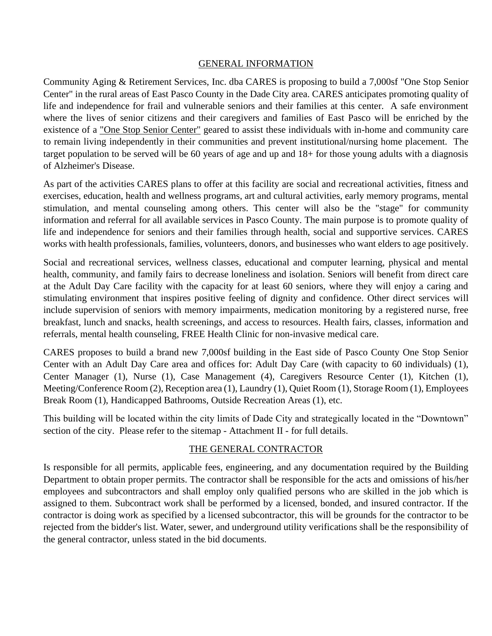# GENERAL INFORMATION

Community Aging & Retirement Services, Inc. dba CARES is proposing to build a 7,000sf "One Stop Senior Center" in the rural areas of East Pasco County in the Dade City area. CARES anticipates promoting quality of life and independence for frail and vulnerable seniors and their families at this center. A safe environment where the lives of senior citizens and their caregivers and families of East Pasco will be enriched by the existence of a "One Stop Senior Center" geared to assist these individuals with in-home and community care to remain living independently in their communities and prevent institutional/nursing home placement. The target population to be served will be 60 years of age and up and 18+ for those young adults with a diagnosis of Alzheimer's Disease.

As part of the activities CARES plans to offer at this facility are social and recreational activities, fitness and exercises, education, health and wellness programs, art and cultural activities, early memory programs, mental stimulation, and mental counseling among others. This center will also be the "stage" for community information and referral for all available services in Pasco County. The main purpose is to promote quality of life and independence for seniors and their families through health, social and supportive services. CARES works with health professionals, families, volunteers, donors, and businesses who want elders to age positively.

Social and recreational services, wellness classes, educational and computer learning, physical and mental health, community, and family fairs to decrease loneliness and isolation. Seniors will benefit from direct care at the Adult Day Care facility with the capacity for at least 60 seniors, where they will enjoy a caring and stimulating environment that inspires positive feeling of dignity and confidence. Other direct services will include supervision of seniors with memory impairments, medication monitoring by a registered nurse, free breakfast, lunch and snacks, health screenings, and access to resources. Health fairs, classes, information and referrals, mental health counseling, FREE Health Clinic for non-invasive medical care.

CARES proposes to build a brand new 7,000sf building in the East side of Pasco County One Stop Senior Center with an Adult Day Care area and offices for: Adult Day Care (with capacity to 60 individuals) (1), Center Manager (1), Nurse (1), Case Management (4), Caregivers Resource Center (1), Kitchen (1), Meeting/Conference Room (2), Reception area (1), Laundry (1), Quiet Room (1), Storage Room (1), Employees Break Room (1), Handicapped Bathrooms, Outside Recreation Areas (1), etc.

This building will be located within the city limits of Dade City and strategically located in the "Downtown" section of the city. Please refer to the sitemap - Attachment II - for full details.

# THE GENERAL CONTRACTOR

Is responsible for all permits, applicable fees, engineering, and any documentation required by the Building Department to obtain proper permits. The contractor shall be responsible for the acts and omissions of his/her employees and subcontractors and shall employ only qualified persons who are skilled in the job which is assigned to them. Subcontract work shall be performed by a licensed, bonded, and insured contractor. If the contractor is doing work as specified by a licensed subcontractor, this will be grounds for the contractor to be rejected from the bidder's list. Water, sewer, and underground utility verifications shall be the responsibility of the general contractor, unless stated in the bid documents.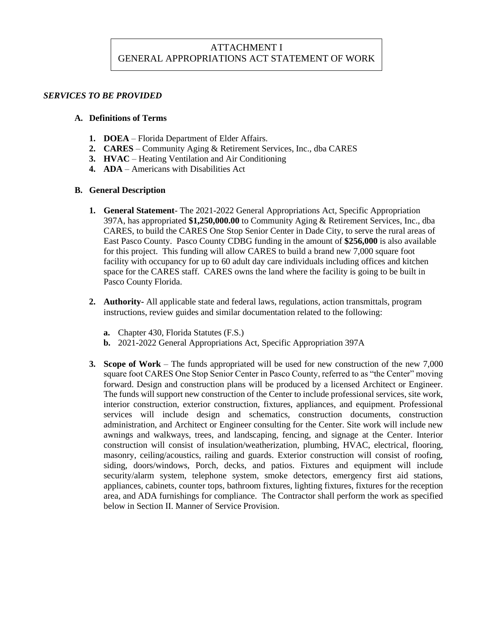# ATTACHMENT I GENERAL APPROPRIATIONS ACT STATEMENT OF WORK

### *SERVICES TO BE PROVIDED*

### **A. Definitions of Terms**

- **1. DOEA**  Florida Department of Elder Affairs.
- **2. CARES**  Community Aging & Retirement Services, Inc., dba CARES
- **3. HVAC**  Heating Ventilation and Air Conditioning
- **4. ADA**  Americans with Disabilities Act

### **B. General Description**

- **1. General Statement** The 2021-2022 General Appropriations Act, Specific Appropriation 397A, has appropriated **\$1,250,000.00** to Community Aging & Retirement Services, Inc., dba CARES, to build the CARES One Stop Senior Center in Dade City, to serve the rural areas of East Pasco County. Pasco County CDBG funding in the amount of **\$256,000** is also available for this project. This funding will allow CARES to build a brand new 7,000 square foot facility with occupancy for up to 60 adult day care individuals including offices and kitchen space for the CARES staff. CARES owns the land where the facility is going to be built in Pasco County Florida.
- **2. Authority-** All applicable state and federal laws, regulations, action transmittals, program instructions, review guides and similar documentation related to the following:
	- **a.** Chapter 430, Florida Statutes (F.S.)
	- **b.** 2021-2022 General Appropriations Act, Specific Appropriation 397A
- **3. Scope of Work**  The funds appropriated will be used for new construction of the new 7,000 square foot CARES One Stop Senior Center in Pasco County, referred to as "the Center" moving forward. Design and construction plans will be produced by a licensed Architect or Engineer. The funds will support new construction of the Center to include professional services, site work, interior construction, exterior construction, fixtures, appliances, and equipment. Professional services will include design and schematics, construction documents, construction administration, and Architect or Engineer consulting for the Center. Site work will include new awnings and walkways, trees, and landscaping, fencing, and signage at the Center. Interior construction will consist of insulation/weatherization, plumbing, HVAC, electrical, flooring, masonry, ceiling/acoustics, railing and guards. Exterior construction will consist of roofing, siding, doors/windows, Porch, decks, and patios. Fixtures and equipment will include security/alarm system, telephone system, smoke detectors, emergency first aid stations, appliances, cabinets, counter tops, bathroom fixtures, lighting fixtures, fixtures for the reception area, and ADA furnishings for compliance. The Contractor shall perform the work as specified below in Section II. Manner of Service Provision.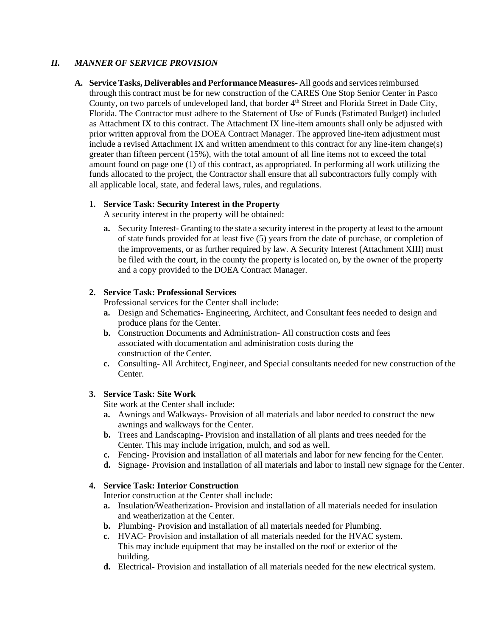# *II. MANNER OF SERVICE PROVISION*

**A. ServiceTasks, Deliverables and Performance Measures-** All goods and servicesreimbursed through this contract must be for new construction of the CARES One Stop Senior Center in Pasco County, on two parcels of undeveloped land, that border 4<sup>th</sup> Street and Florida Street in Dade City, Florida. The Contractor must adhere to the Statement of Use of Funds (Estimated Budget) included as Attachment IX to this contract. The Attachment IX line-item amounts shall only be adjusted with prior written approval from the DOEA Contract Manager. The approved line-item adjustment must include a revised Attachment IX and written amendment to this contract for any line-item change(s) greater than fifteen percent (15%), with the total amount of all line items not to exceed the total amount found on page one (1) of this contract, as appropriated. In performing all work utilizing the funds allocated to the project, the Contractor shall ensure that all subcontractors fully comply with all applicable local, state, and federal laws, rules, and regulations.

# **1. Service Task: Security Interest in the Property**

A security interest in the property will be obtained:

**a.** Security Interest- Granting to the state a security interest in the property at least to the amount of state funds provided for at least five (5) years from the date of purchase, or completion of the improvements, or as further required by law. A Security Interest (Attachment XIII) must be filed with the court, in the county the property is located on, by the owner of the property and a copy provided to the DOEA Contract Manager.

# **2. Service Task: Professional Services**

Professional services for the Center shall include:

- **a.** Design and Schematics- Engineering, Architect, and Consultant fees needed to design and produce plans for the Center.
- **b.** Construction Documents and Administration- All construction costs and fees associated with documentation and administration costs during the construction of the Center.
- **c.** Consulting- All Architect, Engineer, and Special consultants needed for new construction of the Center.

### **3. Service Task: Site Work**

Site work at the Center shall include:

- **a.** Awnings and Walkways- Provision of all materials and labor needed to construct the new awnings and walkways for the Center.
- **b.** Trees and Landscaping- Provision and installation of all plants and trees needed for the Center. This may include irrigation, mulch, and sod as well.
- **c.** Fencing- Provision and installation of all materials and labor for new fencing for the Center.
- **d.** Signage- Provision and installation of all materials and labor to install new signage for the Center.

# **4. Service Task: Interior Construction**

Interior construction at the Center shall include:

- **a.** Insulation/Weatherization- Provision and installation of all materials needed for insulation and weatherization at the Center.
- **b.** Plumbing- Provision and installation of all materials needed for Plumbing.
- **c.** HVAC- Provision and installation of all materials needed for the HVAC system. This may include equipment that may be installed on the roof or exterior of the building.
- **d.** Electrical- Provision and installation of all materials needed for the new electrical system.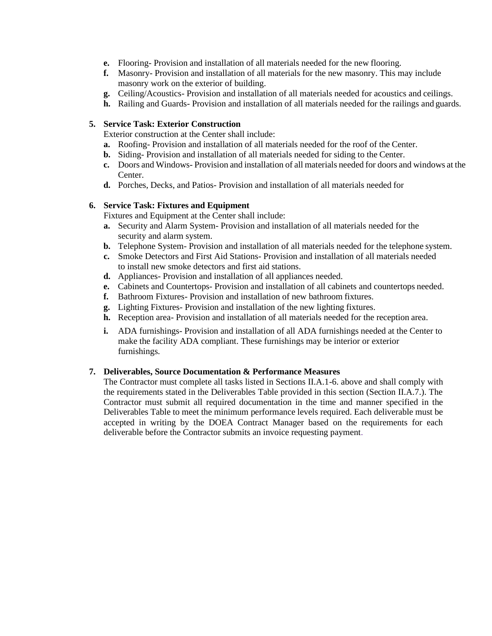- **e.** Flooring- Provision and installation of all materials needed for the new flooring.
- **f.** Masonry- Provision and installation of all materials for the new masonry. This may include masonry work on the exterior of building.
- **g.** Ceiling/Acoustics- Provision and installation of all materials needed for acoustics and ceilings.
- **h.** Railing and Guards- Provision and installation of all materials needed for the railings and guards.

### **5. Service Task: Exterior Construction**

Exterior construction at the Center shall include:

- **a.** Roofing- Provision and installation of all materials needed for the roof of the Center.
- **b.** Siding- Provision and installation of all materials needed for siding to the Center.
- **c.** Doors and Windows- Provision and installation of all materials needed for doors and windows at the Center.
- **d.** Porches, Decks, and Patios- Provision and installation of all materials needed for

### **6. Service Task: Fixtures and Equipment**

Fixtures and Equipment at the Center shall include:

- **a.** Security and Alarm System- Provision and installation of all materials needed for the security and alarm system.
- **b.** Telephone System- Provision and installation of all materials needed for the telephone system.
- **c.** Smoke Detectors and First Aid Stations- Provision and installation of all materials needed to install new smoke detectors and first aid stations.
- **d.** Appliances- Provision and installation of all appliances needed.
- **e.** Cabinets and Countertops- Provision and installation of all cabinets and countertops needed.
- **f.** Bathroom Fixtures- Provision and installation of new bathroom fixtures.
- **g.** Lighting Fixtures- Provision and installation of the new lighting fixtures.
- **h.** Reception area- Provision and installation of all materials needed for the reception area.
- **i.** ADA furnishings-Provision and installation of all ADA furnishings needed at the Center to make the facility ADA compliant. These furnishings may be interior or exterior furnishings.

### **7. Deliverables, Source Documentation & Performance Measures**

The Contractor must complete all tasks listed in Sections II.A.1-6. above and shall comply with the requirements stated in the Deliverables Table provided in this section (Section II.A.7.). The Contractor must submit all required documentation in the time and manner specified in the Deliverables Table to meet the minimum performance levels required. Each deliverable must be accepted in writing by the DOEA Contract Manager based on the requirements for each deliverable before the Contractor submits an invoice requesting payment.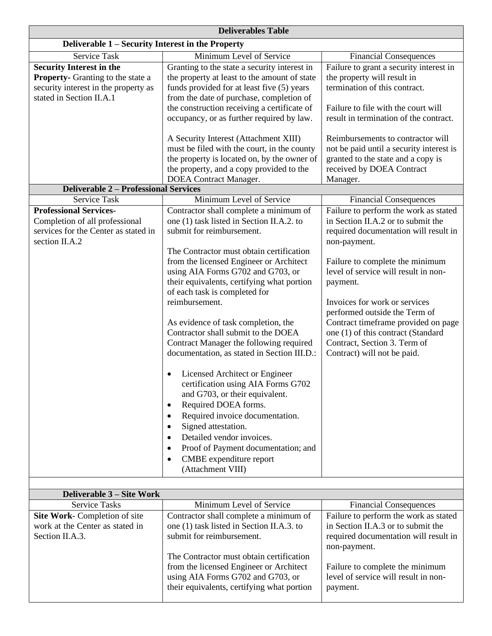| <b>Deliverables Table</b>                                                                                                                       |                                                                                                                                                                                                                                                                                                                                                                                                                                                                                                                                                                                                                                                                                                                                     |                                                                                                                                                                                                                                                                                                                                                                                                                                           |  |
|-------------------------------------------------------------------------------------------------------------------------------------------------|-------------------------------------------------------------------------------------------------------------------------------------------------------------------------------------------------------------------------------------------------------------------------------------------------------------------------------------------------------------------------------------------------------------------------------------------------------------------------------------------------------------------------------------------------------------------------------------------------------------------------------------------------------------------------------------------------------------------------------------|-------------------------------------------------------------------------------------------------------------------------------------------------------------------------------------------------------------------------------------------------------------------------------------------------------------------------------------------------------------------------------------------------------------------------------------------|--|
| Deliverable 1 – Security Interest in the Property                                                                                               |                                                                                                                                                                                                                                                                                                                                                                                                                                                                                                                                                                                                                                                                                                                                     |                                                                                                                                                                                                                                                                                                                                                                                                                                           |  |
| <b>Service Task</b>                                                                                                                             | Minimum Level of Service                                                                                                                                                                                                                                                                                                                                                                                                                                                                                                                                                                                                                                                                                                            | <b>Financial Consequences</b>                                                                                                                                                                                                                                                                                                                                                                                                             |  |
| <b>Security Interest in the</b><br><b>Property-</b> Granting to the state a<br>security interest in the property as<br>stated in Section II.A.1 | Granting to the state a security interest in<br>the property at least to the amount of state<br>funds provided for at least five (5) years<br>from the date of purchase, completion of<br>the construction receiving a certificate of<br>occupancy, or as further required by law.<br>A Security Interest (Attachment XIII)<br>must be filed with the court, in the county<br>the property is located on, by the owner of<br>the property, and a copy provided to the<br><b>DOEA</b> Contract Manager.                                                                                                                                                                                                                              | Failure to grant a security interest in<br>the property will result in<br>termination of this contract.<br>Failure to file with the court will<br>result in termination of the contract.<br>Reimbursements to contractor will<br>not be paid until a security interest is<br>granted to the state and a copy is<br>received by DOEA Contract<br>Manager.                                                                                  |  |
| <b>Deliverable 2 – Professional Services</b><br><b>Service Task</b>                                                                             | Minimum Level of Service                                                                                                                                                                                                                                                                                                                                                                                                                                                                                                                                                                                                                                                                                                            | <b>Financial Consequences</b>                                                                                                                                                                                                                                                                                                                                                                                                             |  |
| <b>Professional Services-</b><br>Completion of all professional<br>services for the Center as stated in<br>section II.A.2                       | Contractor shall complete a minimum of<br>one (1) task listed in Section II.A.2. to<br>submit for reimbursement.<br>The Contractor must obtain certification<br>from the licensed Engineer or Architect<br>using AIA Forms G702 and G703, or<br>their equivalents, certifying what portion<br>of each task is completed for<br>reimbursement.<br>As evidence of task completion, the<br>Contractor shall submit to the DOEA<br>Contract Manager the following required<br>documentation, as stated in Section III.D.:<br>Licensed Architect or Engineer<br>certification using AIA Forms G702<br>and G703, or their equivalent.<br>Required DOEA forms.<br>$\bullet$<br>Required invoice documentation.<br>٠<br>Signed attestation. | Failure to perform the work as stated<br>in Section II.A.2 or to submit the<br>required documentation will result in<br>non-payment.<br>Failure to complete the minimum<br>level of service will result in non-<br>payment.<br>Invoices for work or services<br>performed outside the Term of<br>Contract timeframe provided on page<br>one (1) of this contract (Standard<br>Contract, Section 3. Term of<br>Contract) will not be paid. |  |
|                                                                                                                                                 | Detailed vendor invoices.<br>Proof of Payment documentation; and<br>CMBE expenditure report<br>$\bullet$<br>(Attachment VIII)                                                                                                                                                                                                                                                                                                                                                                                                                                                                                                                                                                                                       |                                                                                                                                                                                                                                                                                                                                                                                                                                           |  |
| <b>Deliverable 3 – Site Work</b>                                                                                                                |                                                                                                                                                                                                                                                                                                                                                                                                                                                                                                                                                                                                                                                                                                                                     |                                                                                                                                                                                                                                                                                                                                                                                                                                           |  |
| <b>Service Tasks</b>                                                                                                                            | Minimum Level of Service                                                                                                                                                                                                                                                                                                                                                                                                                                                                                                                                                                                                                                                                                                            | <b>Financial Consequences</b>                                                                                                                                                                                                                                                                                                                                                                                                             |  |
| Site Work- Completion of site<br>work at the Center as stated in<br>Section II.A.3.                                                             | Contractor shall complete a minimum of<br>one (1) task listed in Section II.A.3. to<br>submit for reimbursement.<br>The Contractor must obtain certification                                                                                                                                                                                                                                                                                                                                                                                                                                                                                                                                                                        | Failure to perform the work as stated<br>in Section II.A.3 or to submit the<br>required documentation will result in<br>non-payment.                                                                                                                                                                                                                                                                                                      |  |
|                                                                                                                                                 | from the licensed Engineer or Architect<br>using AIA Forms G702 and G703, or<br>their equivalents, certifying what portion                                                                                                                                                                                                                                                                                                                                                                                                                                                                                                                                                                                                          | Failure to complete the minimum<br>level of service will result in non-<br>payment.                                                                                                                                                                                                                                                                                                                                                       |  |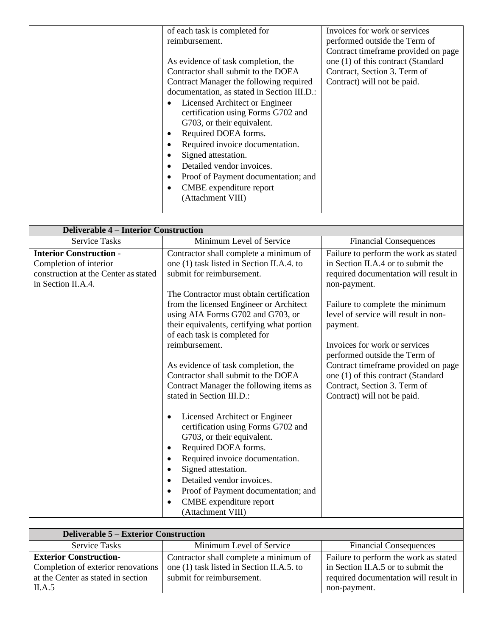|                                                                                                                        | of each task is completed for<br>reimbursement.<br>As evidence of task completion, the<br>Contractor shall submit to the DOEA<br>Contract Manager the following required<br>documentation, as stated in Section III.D.:<br>Licensed Architect or Engineer<br>$\bullet$<br>certification using Forms G702 and<br>G703, or their equivalent.<br>Required DOEA forms.<br>$\bullet$<br>Required invoice documentation.<br>٠<br>Signed attestation.<br>Detailed vendor invoices.<br>Proof of Payment documentation; and<br>$\bullet$<br>CMBE expenditure report<br>$\bullet$<br>(Attachment VIII)                                                                                                                                                                                                                                        | Invoices for work or services<br>performed outside the Term of<br>Contract timeframe provided on page<br>one (1) of this contract (Standard<br>Contract, Section 3. Term of<br>Contract) will not be paid.                                                                                                                                                                                                                                |  |  |
|------------------------------------------------------------------------------------------------------------------------|-------------------------------------------------------------------------------------------------------------------------------------------------------------------------------------------------------------------------------------------------------------------------------------------------------------------------------------------------------------------------------------------------------------------------------------------------------------------------------------------------------------------------------------------------------------------------------------------------------------------------------------------------------------------------------------------------------------------------------------------------------------------------------------------------------------------------------------|-------------------------------------------------------------------------------------------------------------------------------------------------------------------------------------------------------------------------------------------------------------------------------------------------------------------------------------------------------------------------------------------------------------------------------------------|--|--|
|                                                                                                                        |                                                                                                                                                                                                                                                                                                                                                                                                                                                                                                                                                                                                                                                                                                                                                                                                                                     |                                                                                                                                                                                                                                                                                                                                                                                                                                           |  |  |
| <b>Deliverable 4 - Interior Construction</b>                                                                           |                                                                                                                                                                                                                                                                                                                                                                                                                                                                                                                                                                                                                                                                                                                                                                                                                                     |                                                                                                                                                                                                                                                                                                                                                                                                                                           |  |  |
| <b>Service Tasks</b>                                                                                                   | Minimum Level of Service                                                                                                                                                                                                                                                                                                                                                                                                                                                                                                                                                                                                                                                                                                                                                                                                            | <b>Financial Consequences</b>                                                                                                                                                                                                                                                                                                                                                                                                             |  |  |
| <b>Interior Construction -</b><br>Completion of interior<br>construction at the Center as stated<br>in Section II.A.4. | Contractor shall complete a minimum of<br>one (1) task listed in Section II.A.4. to<br>submit for reimbursement.<br>The Contractor must obtain certification<br>from the licensed Engineer or Architect<br>using AIA Forms G702 and G703, or<br>their equivalents, certifying what portion<br>of each task is completed for<br>reimbursement.<br>As evidence of task completion, the<br>Contractor shall submit to the DOEA<br>Contract Manager the following items as<br>stated in Section III.D.:<br>Licensed Architect or Engineer<br>٠<br>certification using Forms G702 and<br>G703, or their equivalent.<br>Required DOEA forms.<br>٠<br>Required invoice documentation.<br>Signed attestation.<br>Detailed vendor invoices.<br>Proof of Payment documentation; and<br>٠<br>CMBE expenditure report<br>٠<br>(Attachment VIII) | Failure to perform the work as stated<br>in Section II.A.4 or to submit the<br>required documentation will result in<br>non-payment.<br>Failure to complete the minimum<br>level of service will result in non-<br>payment.<br>Invoices for work or services<br>performed outside the Term of<br>Contract timeframe provided on page<br>one (1) of this contract (Standard<br>Contract, Section 3. Term of<br>Contract) will not be paid. |  |  |
|                                                                                                                        |                                                                                                                                                                                                                                                                                                                                                                                                                                                                                                                                                                                                                                                                                                                                                                                                                                     |                                                                                                                                                                                                                                                                                                                                                                                                                                           |  |  |
| <b>Deliverable 5 – Exterior Construction</b>                                                                           |                                                                                                                                                                                                                                                                                                                                                                                                                                                                                                                                                                                                                                                                                                                                                                                                                                     |                                                                                                                                                                                                                                                                                                                                                                                                                                           |  |  |
| <b>Service Tasks</b>                                                                                                   | Minimum Level of Service                                                                                                                                                                                                                                                                                                                                                                                                                                                                                                                                                                                                                                                                                                                                                                                                            | <b>Financial Consequences</b>                                                                                                                                                                                                                                                                                                                                                                                                             |  |  |
| <b>Exterior Construction-</b><br>Completion of exterior renovations<br>at the Center as stated in section<br>II.A.5    | Contractor shall complete a minimum of<br>one (1) task listed in Section II.A.5. to<br>submit for reimbursement.                                                                                                                                                                                                                                                                                                                                                                                                                                                                                                                                                                                                                                                                                                                    | Failure to perform the work as stated<br>in Section II.A.5 or to submit the<br>required documentation will result in<br>non-payment.                                                                                                                                                                                                                                                                                                      |  |  |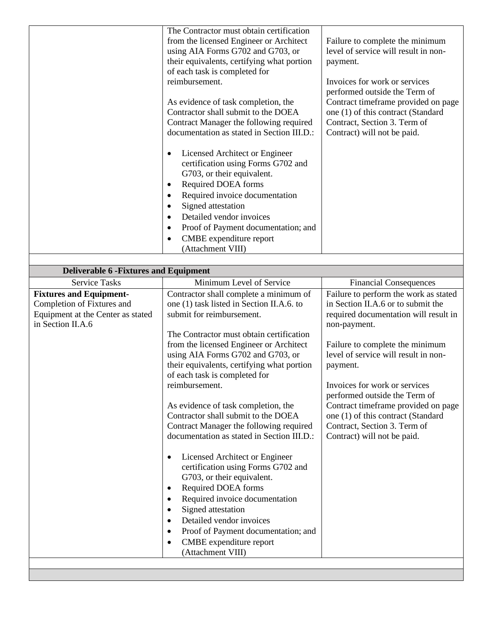|                                                                                                                        | The Contractor must obtain certification<br>from the licensed Engineer or Architect<br>using AIA Forms G702 and G703, or<br>their equivalents, certifying what portion<br>of each task is completed for<br>reimbursement.<br>As evidence of task completion, the<br>Contractor shall submit to the DOEA<br>Contract Manager the following required<br>documentation as stated in Section III.D.:                                                                                                                             | Failure to complete the minimum<br>level of service will result in non-<br>payment.<br>Invoices for work or services<br>performed outside the Term of<br>Contract timeframe provided on page<br>one (1) of this contract (Standard<br>Contract, Section 3. Term of<br>Contract) will not be paid. |
|------------------------------------------------------------------------------------------------------------------------|------------------------------------------------------------------------------------------------------------------------------------------------------------------------------------------------------------------------------------------------------------------------------------------------------------------------------------------------------------------------------------------------------------------------------------------------------------------------------------------------------------------------------|---------------------------------------------------------------------------------------------------------------------------------------------------------------------------------------------------------------------------------------------------------------------------------------------------|
|                                                                                                                        | Licensed Architect or Engineer<br>٠<br>certification using Forms G702 and<br>G703, or their equivalent.<br>Required DOEA forms<br>$\bullet$<br>Required invoice documentation<br>$\bullet$<br>Signed attestation<br>٠<br>Detailed vendor invoices<br>Proof of Payment documentation; and<br>٠<br>CMBE expenditure report<br>$\bullet$<br>(Attachment VIII)                                                                                                                                                                   |                                                                                                                                                                                                                                                                                                   |
| <b>Deliverable 6 - Fixtures and Equipment</b>                                                                          |                                                                                                                                                                                                                                                                                                                                                                                                                                                                                                                              |                                                                                                                                                                                                                                                                                                   |
| <b>Service Tasks</b>                                                                                                   | Minimum Level of Service                                                                                                                                                                                                                                                                                                                                                                                                                                                                                                     | <b>Financial Consequences</b>                                                                                                                                                                                                                                                                     |
| <b>Fixtures and Equipment-</b><br>Completion of Fixtures and<br>Equipment at the Center as stated<br>in Section II.A.6 | Contractor shall complete a minimum of<br>one (1) task listed in Section II.A.6. to<br>submit for reimbursement.<br>The Contractor must obtain certification<br>from the licensed Engineer or Architect<br>using AIA Forms G702 and G703, or<br>their equivalents, certifying what portion<br>of each task is completed for<br>reimbursement.                                                                                                                                                                                | Failure to perform the work as stated<br>in Section II.A.6 or to submit the<br>required documentation will result in<br>non-payment.<br>Failure to complete the minimum<br>level of service will result in non-<br>payment.<br>Invoices for work or services<br>performed outside the Term of     |
|                                                                                                                        | As evidence of task completion, the<br>Contractor shall submit to the DOEA<br>Contract Manager the following required<br>documentation as stated in Section III.D.:<br>Licensed Architect or Engineer<br>$\bullet$<br>certification using Forms G702 and<br>G703, or their equivalent.<br>Required DOEA forms<br>٠<br>Required invoice documentation<br>$\bullet$<br>Signed attestation<br>$\bullet$<br>Detailed vendor invoices<br>Proof of Payment documentation; and<br>$\bullet$<br>CMBE expenditure report<br>$\bullet$ | Contract timeframe provided on page<br>one (1) of this contract (Standard<br>Contract, Section 3. Term of<br>Contract) will not be paid.                                                                                                                                                          |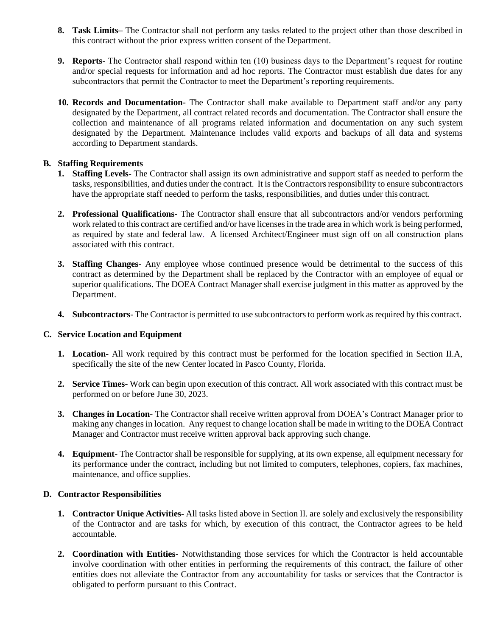- **8. Task Limits–** The Contractor shall not perform any tasks related to the project other than those described in this contract without the prior express written consent of the Department.
- **9. Reports** The Contractor shall respond within ten (10) business days to the Department's request for routine and/or special requests for information and ad hoc reports. The Contractor must establish due dates for any subcontractors that permit the Contractor to meet the Department's reporting requirements.
- **10. Records and Documentation-** The Contractor shall make available to Department staff and/or any party designated by the Department, all contract related records and documentation. The Contractor shall ensure the collection and maintenance of all programs related information and documentation on any such system designated by the Department. Maintenance includes valid exports and backups of all data and systems according to Department standards.

# **B. Staffing Requirements**

- **1. Staffing Levels** The Contractor shall assign its own administrative and support staff as needed to perform the tasks, responsibilities, and duties under the contract. It is the Contractors responsibility to ensure subcontractors have the appropriate staff needed to perform the tasks, responsibilities, and duties under this contract.
- **2. Professional Qualifications-** The Contractor shall ensure that all subcontractors and/or vendors performing work related to this contract are certified and/or have licenses in the trade area in which work is being performed, as required by state and federal law. A licensed Architect/Engineer must sign off on all construction plans associated with this contract.
- **3. Staffing Changes***-* Any employee whose continued presence would be detrimental to the success of this contract as determined by the Department shall be replaced by the Contractor with an employee of equal or superior qualifications. The DOEA Contract Manager shall exercise judgment in this matter as approved by the Department.
- **4. Subcontractors** The Contractor is permitted to use subcontractors to perform work as required by this contract.

### **C. Service Location and Equipment**

- **1. Location-** All work required by this contract must be performed for the location specified in Section II.A, specifically the site of the new Center located in Pasco County, Florida.
- **2. Service Times-** Work can begin upon execution of this contract. All work associated with this contract must be performed on or before June 30, 2023.
- **3. Changes in Location***-* The Contractor shall receive written approval from DOEA's Contract Manager prior to making any changes in location. Any request to change location shall be made in writing to the DOEA Contract Manager and Contractor must receive written approval back approving such change.
- **4. Equipment** The Contractor shall be responsible for supplying, at its own expense, all equipment necessary for its performance under the contract, including but not limited to computers, telephones, copiers, fax machines, maintenance, and office supplies.

### **D. Contractor Responsibilities**

- **1. Contractor Unique Activities** All tasks listed above in Section II. are solely and exclusively the responsibility of the Contractor and are tasks for which, by execution of this contract, the Contractor agrees to be held accountable.
- **2. Coordination with Entities-** Notwithstanding those services for which the Contractor is held accountable involve coordination with other entities in performing the requirements of this contract, the failure of other entities does not alleviate the Contractor from any accountability for tasks or services that the Contractor is obligated to perform pursuant to this Contract.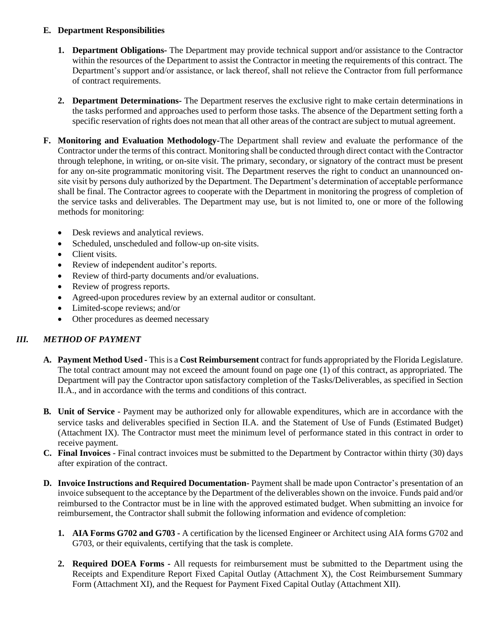# **E. Department Responsibilities**

- **1. Department Obligations-** The Department may provide technical support and/or assistance to the Contractor within the resources of the Department to assist the Contractor in meeting the requirements of this contract. The Department's support and/or assistance, or lack thereof, shall not relieve the Contractor from full performance of contract requirements.
- **2. Department Determinations-** The Department reserves the exclusive right to make certain determinations in the tasks performed and approaches used to perform those tasks. The absence of the Department setting forth a specific reservation of rights does not mean that all other areas of the contract are subject to mutual agreement.
- **F. Monitoring and Evaluation Methodology-**The Department shall review and evaluate the performance of the Contractor under the terms of this contract. Monitoring shall be conducted through direct contact with the Contractor through telephone, in writing, or on-site visit. The primary, secondary, or signatory of the contract must be present for any on-site programmatic monitoring visit. The Department reserves the right to conduct an unannounced onsite visit by persons duly authorized by the Department. The Department's determination of acceptable performance shall be final. The Contractor agrees to cooperate with the Department in monitoring the progress of completion of the service tasks and deliverables. The Department may use, but is not limited to, one or more of the following methods for monitoring:
	- Desk reviews and analytical reviews.
	- Scheduled, unscheduled and follow-up on-site visits.
	- Client visits.
	- Review of independent auditor's reports.
	- Review of third-party documents and/or evaluations.
	- Review of progress reports.
	- Agreed-upon procedures review by an external auditor or consultant.
	- Limited-scope reviews; and/or
	- Other procedures as deemed necessary

# *III. METHOD OF PAYMENT*

- **A. Payment Method Used -** Thisis a **Cost Reimbursement** contract for funds appropriated by the Florida Legislature. The total contract amount may not exceed the amount found on page one (1) of this contract, as appropriated. The Department will pay the Contractor upon satisfactory completion of the Tasks/Deliverables, as specified in Section II.A., and in accordance with the terms and conditions of this contract.
- **B. Unit of Service**  Payment may be authorized only for allowable expenditures, which are in accordance with the service tasks and deliverables specified in Section II.A. and the Statement of Use of Funds (Estimated Budget) (Attachment IX). The Contractor must meet the minimum level of performance stated in this contract in order to receive payment.
- **C. Final Invoices** Final contract invoices must be submitted to the Department by Contractor within thirty (30) days after expiration of the contract.
- **D. Invoice Instructions and Required Documentation-** Payment shall be made upon Contractor's presentation of an invoice subsequent to the acceptance by the Department of the deliverables shown on the invoice. Funds paid and/or reimbursed to the Contractor must be in line with the approved estimated budget. When submitting an invoice for reimbursement, the Contractor shall submit the following information and evidence of completion:
	- **1. AIA Forms G702 and G703 -** A certification by the licensed Engineer or Architect using AIA forms G702 and G703, or their equivalents, certifying that the task is complete.
	- **2. Required DOEA Forms -** All requests for reimbursement must be submitted to the Department using the Receipts and Expenditure Report Fixed Capital Outlay (Attachment X), the Cost Reimbursement Summary Form (Attachment XI), and the Request for Payment Fixed Capital Outlay (Attachment XII).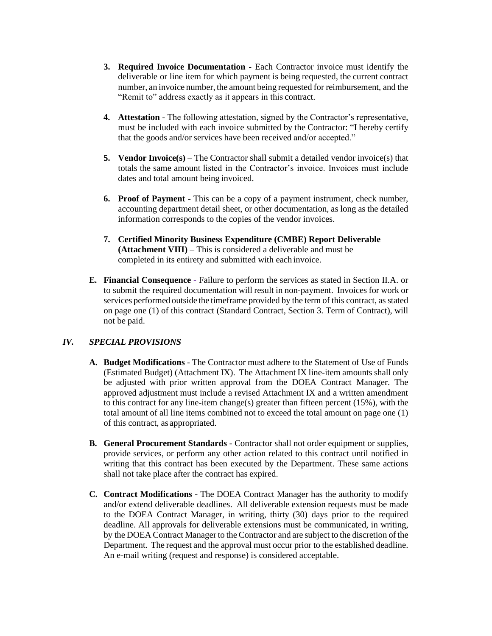- **3. Required Invoice Documentation -** Each Contractor invoice must identify the deliverable or line item for which payment is being requested, the current contract number, an invoice number, the amount being requested for reimbursement, and the "Remit to" address exactly as it appears in this contract.
- **4. Attestation**  The following attestation, signed by the Contractor's representative, must be included with each invoice submitted by the Contractor: "I hereby certify that the goods and/or services have been received and/or accepted."
- **5. Vendor Invoice(s)** The Contractor shall submit a detailed vendor invoice(s) that totals the same amount listed in the Contractor's invoice. Invoices must include dates and total amount being invoiced.
- **6. Proof of Payment**  This can be a copy of a payment instrument, check number, accounting department detail sheet, or other documentation, as long as the detailed information corresponds to the copies of the vendor invoices.
- **7. Certified Minority Business Expenditure (CMBE) Report Deliverable (Attachment VIII)** – This is considered a deliverable and must be completed in its entirety and submitted with each invoice.
- **E. Financial Consequence -** Failure to perform the services as stated in Section II.A. or to submit the required documentation will result in non-payment. Invoices for work or services performed outside the timeframe provided by the term of this contract, as stated on page one (1) of this contract (Standard Contract, Section 3. Term of Contract), will not be paid.

# *IV. SPECIAL PROVISIONS*

- **A. Budget Modifications**  The Contractor must adhere to the Statement of Use of Funds (Estimated Budget) (Attachment IX). The Attachment IX line-item amounts shall only be adjusted with prior written approval from the DOEA Contract Manager. The approved adjustment must include a revised Attachment IX and a written amendment to this contract for any line-item change(s) greater than fifteen percent (15%), with the total amount of all line items combined not to exceed the total amount on page one (1) of this contract, as appropriated.
- **B. General Procurement Standards -** Contractor shall not order equipment or supplies, provide services, or perform any other action related to this contract until notified in writing that this contract has been executed by the Department. These same actions shall not take place after the contract has expired.
- **C. Contract Modifications -** The DOEA Contract Manager has the authority to modify and/or extend deliverable deadlines. All deliverable extension requests must be made to the DOEA Contract Manager, in writing, thirty (30) days prior to the required deadline. All approvals for deliverable extensions must be communicated, in writing, by the DOEA Contract Manager to the Contractor and are subject to the discretion of the Department. The request and the approval must occur prior to the established deadline. An e-mail writing (request and response) is considered acceptable.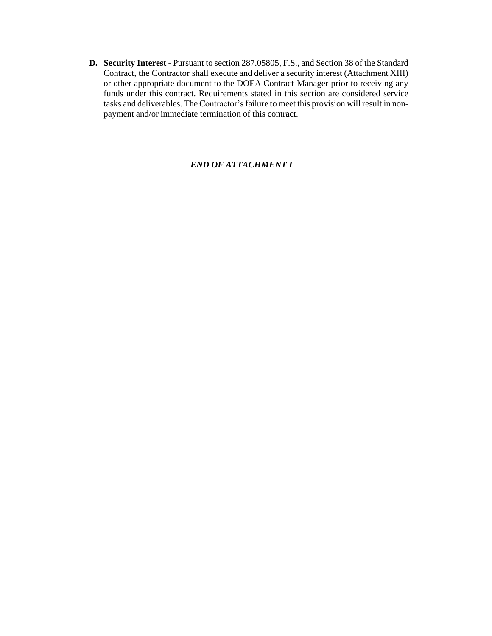**D. Security Interest -** Pursuant to section 287.05805, F.S., and Section 38 of the Standard Contract, the Contractor shall execute and deliver a security interest (Attachment XIII) or other appropriate document to the DOEA Contract Manager prior to receiving any funds under this contract. Requirements stated in this section are considered service tasks and deliverables. The Contractor's failure to meet this provision will result in nonpayment and/or immediate termination of this contract.

# *END OF ATTACHMENT I*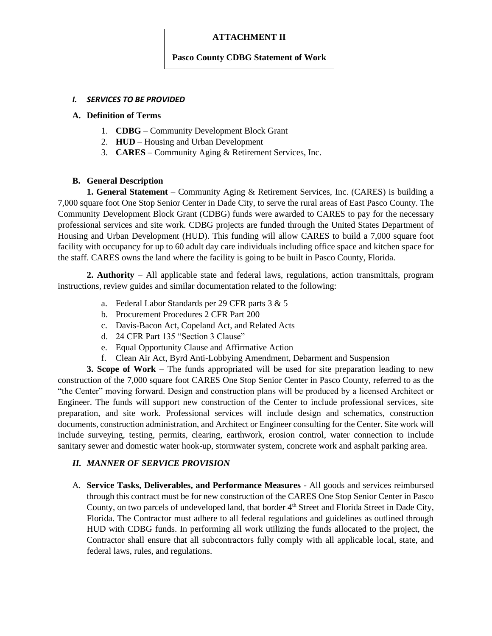### **ATTACHMENT II**

### **Pasco County CDBG Statement of Work**

#### *I. SERVICES TO BE PROVIDED*

### **A. Definition of Terms**

- 1. **CDBG** Community Development Block Grant
- 2. **HUD**  Housing and Urban Development
- 3. **CARES**  Community Aging & Retirement Services, Inc.

### **B. General Description**

**1. General Statement** – Community Aging & Retirement Services, Inc. (CARES) is building a 7,000 square foot One Stop Senior Center in Dade City, to serve the rural areas of East Pasco County. The Community Development Block Grant (CDBG) funds were awarded to CARES to pay for the necessary professional services and site work. CDBG projects are funded through the United States Department of Housing and Urban Development (HUD). This funding will allow CARES to build a 7,000 square foot facility with occupancy for up to 60 adult day care individuals including office space and kitchen space for the staff. CARES owns the land where the facility is going to be built in Pasco County, Florida.

**2. Authority** – All applicable state and federal laws, regulations, action transmittals, program instructions, review guides and similar documentation related to the following:

- a. Federal Labor Standards per 29 CFR parts 3 & 5
- b. Procurement Procedures 2 CFR Part 200
- c. Davis-Bacon Act, Copeland Act, and Related Acts
- d. 24 CFR Part 135 "Section 3 Clause"
- e. Equal Opportunity Clause and Affirmative Action
- f. Clean Air Act, Byrd Anti-Lobbying Amendment, Debarment and Suspension

**3. Scope of Work –** The funds appropriated will be used for site preparation leading to new construction of the 7,000 square foot CARES One Stop Senior Center in Pasco County, referred to as the "the Center" moving forward. Design and construction plans will be produced by a licensed Architect or Engineer. The funds will support new construction of the Center to include professional services, site preparation, and site work. Professional services will include design and schematics, construction documents, construction administration, and Architect or Engineer consulting for the Center. Site work will include surveying, testing, permits, clearing, earthwork, erosion control, water connection to include sanitary sewer and domestic water hook-up, stormwater system, concrete work and asphalt parking area.

### *II. MANNER OF SERVICE PROVISION*

A. **Service Tasks, Deliverables, and Performance Measures** - All goods and services reimbursed through this contract must be for new construction of the CARES One Stop Senior Center in Pasco County, on two parcels of undeveloped land, that border  $4<sup>th</sup>$  Street and Florida Street in Dade City, Florida. The Contractor must adhere to all federal regulations and guidelines as outlined through HUD with CDBG funds. In performing all work utilizing the funds allocated to the project, the Contractor shall ensure that all subcontractors fully comply with all applicable local, state, and federal laws, rules, and regulations.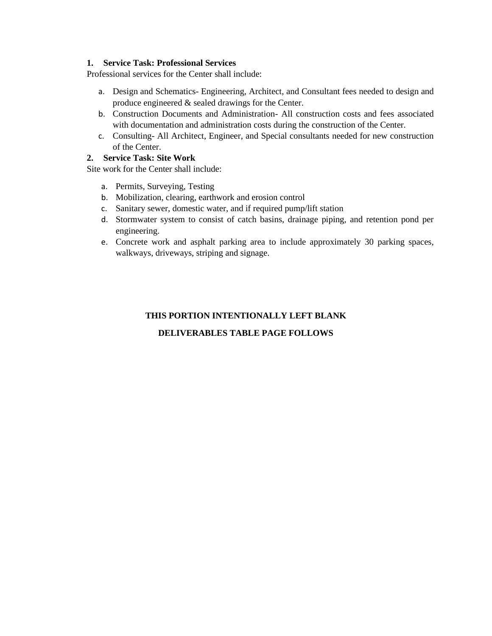### **1. Service Task: Professional Services**

Professional services for the Center shall include:

- a. Design and Schematics- Engineering, Architect, and Consultant fees needed to design and produce engineered & sealed drawings for the Center.
- b. Construction Documents and Administration- All construction costs and fees associated with documentation and administration costs during the construction of the Center.
- c. Consulting- All Architect, Engineer, and Special consultants needed for new construction of the Center.

### **2. Service Task: Site Work**

Site work for the Center shall include:

- a. Permits, Surveying, Testing
- b. Mobilization, clearing, earthwork and erosion control
- c. Sanitary sewer, domestic water, and if required pump/lift station
- d. Stormwater system to consist of catch basins, drainage piping, and retention pond per engineering.
- e. Concrete work and asphalt parking area to include approximately 30 parking spaces, walkways, driveways, striping and signage.

# **THIS PORTION INTENTIONALLY LEFT BLANK DELIVERABLES TABLE PAGE FOLLOWS**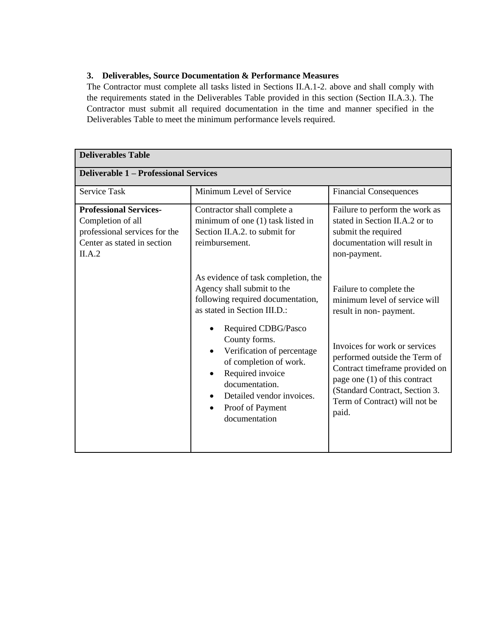# **3. Deliverables, Source Documentation & Performance Measures**

The Contractor must complete all tasks listed in Sections II.A.1-2. above and shall comply with the requirements stated in the Deliverables Table provided in this section (Section II.A.3.). The Contractor must submit all required documentation in the time and manner specified in the Deliverables Table to meet the minimum performance levels required.

| <b>Deliverables Table</b><br><b>Deliverable 1 - Professional Services</b>                                                    |                                                                                                                                                                                                                                                                                                                                                                                            |                                                                                                                                                                                                                                                                                                       |  |  |
|------------------------------------------------------------------------------------------------------------------------------|--------------------------------------------------------------------------------------------------------------------------------------------------------------------------------------------------------------------------------------------------------------------------------------------------------------------------------------------------------------------------------------------|-------------------------------------------------------------------------------------------------------------------------------------------------------------------------------------------------------------------------------------------------------------------------------------------------------|--|--|
|                                                                                                                              |                                                                                                                                                                                                                                                                                                                                                                                            |                                                                                                                                                                                                                                                                                                       |  |  |
| <b>Professional Services-</b><br>Completion of all<br>professional services for the<br>Center as stated in section<br>II.A.2 | Contractor shall complete a<br>minimum of one (1) task listed in<br>Section II.A.2. to submit for<br>reimbursement.                                                                                                                                                                                                                                                                        | Failure to perform the work as<br>stated in Section II.A.2 or to<br>submit the required<br>documentation will result in<br>non-payment.                                                                                                                                                               |  |  |
|                                                                                                                              | As evidence of task completion, the<br>Agency shall submit to the<br>following required documentation,<br>as stated in Section III.D.:<br>Required CDBG/Pasco<br>County forms.<br>Verification of percentage<br>$\bullet$<br>of completion of work.<br>Required invoice<br>$\bullet$<br>documentation.<br>Detailed vendor invoices.<br>$\bullet$<br>Proof of Payment<br>٠<br>documentation | Failure to complete the<br>minimum level of service will<br>result in non-payment.<br>Invoices for work or services<br>performed outside the Term of<br>Contract timeframe provided on<br>page one $(1)$ of this contract<br>(Standard Contract, Section 3.<br>Term of Contract) will not be<br>paid. |  |  |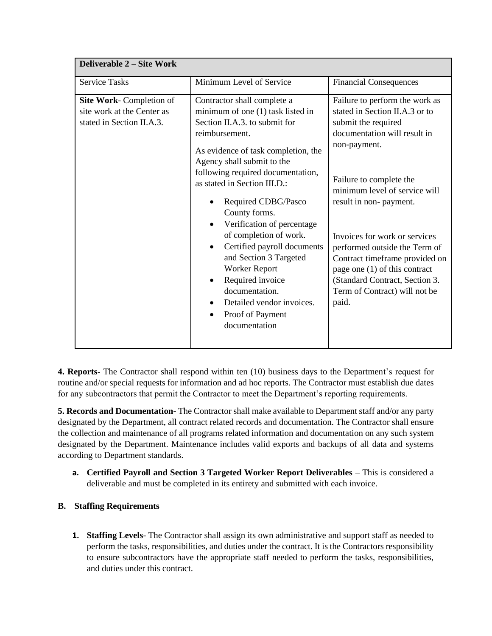| <b>Deliverable 2 – Site Work</b>                                                          |                                                                                                                                                                                                                                                                                                                                                                                                                                                                                                                                                                                               |                                                                                                                                                                                                                                                                                                                                                                                                                                                  |  |
|-------------------------------------------------------------------------------------------|-----------------------------------------------------------------------------------------------------------------------------------------------------------------------------------------------------------------------------------------------------------------------------------------------------------------------------------------------------------------------------------------------------------------------------------------------------------------------------------------------------------------------------------------------------------------------------------------------|--------------------------------------------------------------------------------------------------------------------------------------------------------------------------------------------------------------------------------------------------------------------------------------------------------------------------------------------------------------------------------------------------------------------------------------------------|--|
| <b>Service Tasks</b>                                                                      | Minimum Level of Service                                                                                                                                                                                                                                                                                                                                                                                                                                                                                                                                                                      | <b>Financial Consequences</b>                                                                                                                                                                                                                                                                                                                                                                                                                    |  |
| <b>Site Work-Completion of</b><br>site work at the Center as<br>stated in Section II.A.3. | Contractor shall complete a<br>minimum of one (1) task listed in<br>Section II.A.3. to submit for<br>reimbursement.<br>As evidence of task completion, the<br>Agency shall submit to the<br>following required documentation,<br>as stated in Section III.D.:<br>Required CDBG/Pasco<br>County forms.<br>Verification of percentage<br>of completion of work.<br>Certified payroll documents<br>$\bullet$<br>and Section 3 Targeted<br><b>Worker Report</b><br>Required invoice<br>documentation.<br>Detailed vendor invoices.<br>$\bullet$<br>Proof of Payment<br>$\bullet$<br>documentation | Failure to perform the work as<br>stated in Section II.A.3 or to<br>submit the required<br>documentation will result in<br>non-payment.<br>Failure to complete the<br>minimum level of service will<br>result in non-payment.<br>Invoices for work or services<br>performed outside the Term of<br>Contract timeframe provided on<br>page one $(1)$ of this contract<br>(Standard Contract, Section 3.<br>Term of Contract) will not be<br>paid. |  |

**4. Reports**- The Contractor shall respond within ten (10) business days to the Department's request for routine and/or special requests for information and ad hoc reports. The Contractor must establish due dates for any subcontractors that permit the Contractor to meet the Department's reporting requirements.

**5. Records and Documentation-** The Contractor shall make available to Department staff and/or any party designated by the Department, all contract related records and documentation. The Contractor shall ensure the collection and maintenance of all programs related information and documentation on any such system designated by the Department. Maintenance includes valid exports and backups of all data and systems according to Department standards.

**a. Certified Payroll and Section 3 Targeted Worker Report Deliverables – This is considered a** deliverable and must be completed in its entirety and submitted with each invoice.

# **B. Staffing Requirements**

**1. Staffing Levels**- The Contractor shall assign its own administrative and support staff as needed to perform the tasks, responsibilities, and duties under the contract. It is the Contractors responsibility to ensure subcontractors have the appropriate staff needed to perform the tasks, responsibilities, and duties under this contract.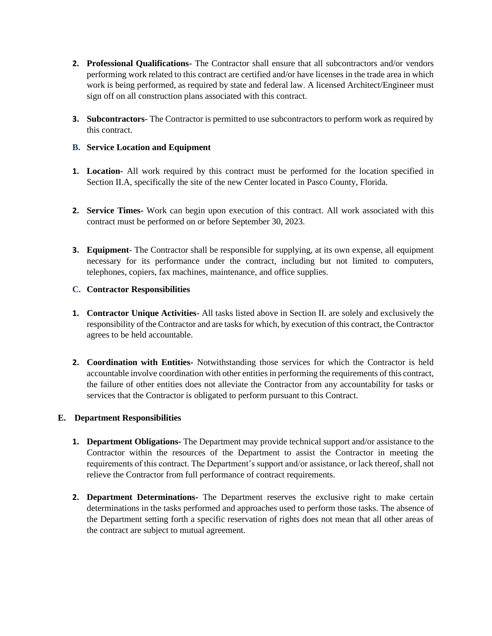- **2. Professional Qualifications-** The Contractor shall ensure that all subcontractors and/or vendors performing work related to this contract are certified and/or have licenses in the trade area in which work is being performed, as required by state and federal law. A licensed Architect/Engineer must sign off on all construction plans associated with this contract.
- **3. Subcontractors** The Contractor is permitted to use subcontractors to perform work as required by this contract.

# **B. Service Location and Equipment**

- **1. Location-** All work required by this contract must be performed for the location specified in Section II.A, specifically the site of the new Center located in Pasco County, Florida.
- **2. Service Times-** Work can begin upon execution of this contract. All work associated with this contract must be performed on or before September 30, 2023.
- **3. Equipment** The Contractor shall be responsible for supplying, at its own expense, all equipment necessary for its performance under the contract, including but not limited to computers, telephones, copiers, fax machines, maintenance, and office supplies.

# **C. Contractor Responsibilities**

- **1. Contractor Unique Activities** All tasks listed above in Section II. are solely and exclusively the responsibility of the Contractor and are tasks for which, by execution of this contract, the Contractor agrees to be held accountable.
- **2. Coordination with Entities-** Notwithstanding those services for which the Contractor is held accountable involve coordination with other entities in performing the requirements of this contract, the failure of other entities does not alleviate the Contractor from any accountability for tasks or services that the Contractor is obligated to perform pursuant to this Contract.

### **E. Department Responsibilities**

- **1. Department Obligations-** The Department may provide technical support and/or assistance to the Contractor within the resources of the Department to assist the Contractor in meeting the requirements of this contract. The Department's support and/or assistance, or lack thereof, shall not relieve the Contractor from full performance of contract requirements.
- **2. Department Determinations-** The Department reserves the exclusive right to make certain determinations in the tasks performed and approaches used to perform those tasks. The absence of the Department setting forth a specific reservation of rights does not mean that all other areas of the contract are subject to mutual agreement.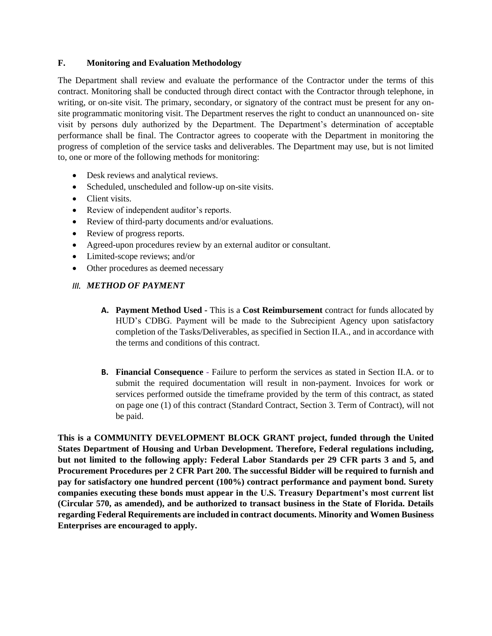### **F. Monitoring and Evaluation Methodology**

The Department shall review and evaluate the performance of the Contractor under the terms of this contract. Monitoring shall be conducted through direct contact with the Contractor through telephone, in writing, or on-site visit. The primary, secondary, or signatory of the contract must be present for any onsite programmatic monitoring visit. The Department reserves the right to conduct an unannounced on- site visit by persons duly authorized by the Department. The Department's determination of acceptable performance shall be final. The Contractor agrees to cooperate with the Department in monitoring the progress of completion of the service tasks and deliverables. The Department may use, but is not limited to, one or more of the following methods for monitoring:

- Desk reviews and analytical reviews.
- Scheduled, unscheduled and follow-up on-site visits.
- Client visits.
- Review of independent auditor's reports.
- Review of third-party documents and/or evaluations.
- Review of progress reports.
- Agreed-upon procedures review by an external auditor or consultant.
- Limited-scope reviews; and/or
- Other procedures as deemed necessary

# *III. METHOD OF PAYMENT*

- **A. Payment Method Used -** This is a **Cost Reimbursement** contract for funds allocated by HUD's CDBG. Payment will be made to the Subrecipient Agency upon satisfactory completion of the Tasks/Deliverables, as specified in Section II.A., and in accordance with the terms and conditions of this contract.
- **B. Financial Consequence -** Failure to perform the services as stated in Section II.A. or to submit the required documentation will result in non-payment. Invoices for work or services performed outside the timeframe provided by the term of this contract, as stated on page one (1) of this contract (Standard Contract, Section 3. Term of Contract), will not be paid.

**This is a COMMUNITY DEVELOPMENT BLOCK GRANT project, funded through the United States Department of Housing and Urban Development. Therefore, Federal regulations including, but not limited to the following apply: Federal Labor Standards per 29 CFR parts 3 and 5, and Procurement Procedures per 2 CFR Part 200. The successful Bidder will be required to furnish and pay for satisfactory one hundred percent (100%) contract performance and payment bond. Surety companies executing these bonds must appear in the U.S. Treasury Department's most current list (Circular 570, as amended), and be authorized to transact business in the State of Florida. Details regarding Federal Requirements are included in contract documents. Minority and Women Business Enterprises are encouraged to apply.**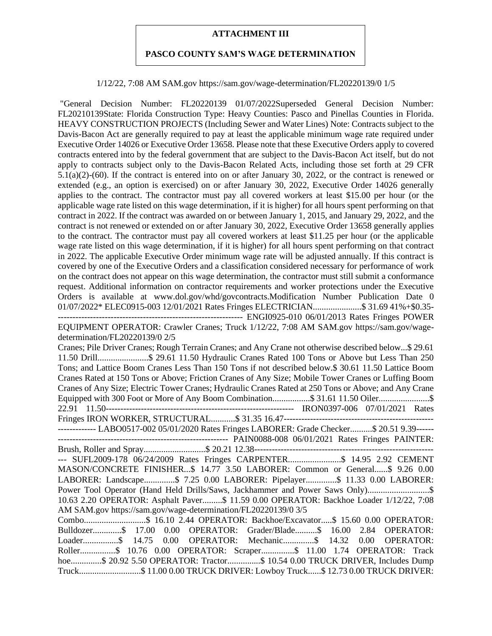### **ATTACHMENT III**

### **PASCO COUNTY SAM'S WAGE DETERMINATION**

#### 1/12/22, 7:08 AM SAM.gov https://sam.gov/wage-determination/FL20220139/0 1/5

"General Decision Number: FL20220139 01/07/2022Superseded General Decision Number: FL20210139State: Florida Construction Type: Heavy Counties: Pasco and Pinellas Counties in Florida. HEAVY CONSTRUCTION PROJECTS (Including Sewer and Water Lines) Note: Contracts subject to the Davis-Bacon Act are generally required to pay at least the applicable minimum wage rate required under Executive Order 14026 or Executive Order 13658. Please note that these Executive Orders apply to covered contracts entered into by the federal government that are subject to the Davis-Bacon Act itself, but do not apply to contracts subject only to the Davis-Bacon Related Acts, including those set forth at 29 CFR 5.1(a)(2)-(60). If the contract is entered into on or after January 30, 2022, or the contract is renewed or extended (e.g., an option is exercised) on or after January 30, 2022, Executive Order 14026 generally applies to the contract. The contractor must pay all covered workers at least \$15.00 per hour (or the applicable wage rate listed on this wage determination, if it is higher) for all hours spent performing on that contract in 2022. If the contract was awarded on or between January 1, 2015, and January 29, 2022, and the contract is not renewed or extended on or after January 30, 2022, Executive Order 13658 generally applies to the contract. The contractor must pay all covered workers at least \$11.25 per hour (or the applicable wage rate listed on this wage determination, if it is higher) for all hours spent performing on that contract in 2022. The applicable Executive Order minimum wage rate will be adjusted annually. If this contract is covered by one of the Executive Orders and a classification considered necessary for performance of work on the contract does not appear on this wage determination, the contractor must still submit a conformance request. Additional information on contractor requirements and worker protections under the Executive Orders is available at www.dol.gov/whd/govcontracts.Modification Number Publication Date 0 01/07/2022\* ELEC0915-003 12/01/2021 Rates Fringes ELECTRICIAN......................\$ 31.69 41%+\$0.35- --------------------------------------------------------------- ENGI0925-010 06/01/2013 Rates Fringes POWER

EQUIPMENT OPERATOR: Crawler Cranes; Truck 1/12/22, 7:08 AM SAM.gov https://sam.gov/wagedetermination/FL20220139/0 2/5

Cranes; Pile Driver Cranes; Rough Terrain Cranes; and Any Crane not otherwise described below...\$ 29.61 11.50 Drill.......................\$ 29.61 11.50 Hydraulic Cranes Rated 100 Tons or Above but Less Than 250 Tons; and Lattice Boom Cranes Less Than 150 Tons if not described below.\$ 30.61 11.50 Lattice Boom Cranes Rated at 150 Tons or Above; Friction Cranes of Any Size; Mobile Tower Cranes or Luffing Boom Cranes of Any Size; Electric Tower Cranes; Hydraulic Cranes Rated at 250 Tons or Above; and Any Crane Equipped with 300 Foot or More of Any Boom Combination.................\$ 31.61 11.50 Oiler.....................\$ 22.91 11.50---------------------------------------------------------------- IRON0397-006 07/01/2021 Rates Fringes IRON WORKER, STRUCTURAL...........\$ 31.35 16.47--------------------------------------------------- ------------- LABO0517-002 05/01/2020 Rates Fringes LABORER: Grade Checker..........\$ 20.51 9.39------ ---------------------------------------------------------- PAIN0088-008 06/01/2021 Rates Fringes PAINTER: Brush, Roller and Spray............................\$ 20.21 12.38------------------------------------------------------------- --- SUFL2009-178 06/24/2009 Rates Fringes CARPENTER........................\$ 14.95 2.92 CEMENT MASON/CONCRETE FINISHER...\$ 14.77 3.50 LABORER: Common or General......\$ 9.26 0.00 LABORER: Landscape..............\$ 7.25 0.00 LABORER: Pipelayer..............\$ 11.33 0.00 LABORER: Power Tool Operator (Hand Held Drills/Saws, Jackhammer and Power Saws Only)................................... 10.63 2.20 OPERATOR: Asphalt Paver.........\$ 11.59 0.00 OPERATOR: Backhoe Loader 1/12/22, 7:08 AM SAM.gov https://sam.gov/wage-determination/FL20220139/0 3/5

Combo............................\$ 16.10 2.44 OPERATOR: Backhoe/Excavator.....\$ 15.60 0.00 OPERATOR: Bulldozer.............\$ 17.00 0.00 OPERATOR: Grader/Blade..........\$ 16.00 2.84 OPERATOR: Loader................\$ 14.75 0.00 OPERATOR: Mechanic..............\$ 14.32 0.00 OPERATOR: Roller................\$ 10.76 0.00 OPERATOR: Scraper...............\$ 11.00 1.74 OPERATOR: Track hoe..............\$ 20.92 5.50 OPERATOR: Tractor...............\$ 10.54 0.00 TRUCK DRIVER, Includes Dump Truck............................\$ 11.00 0.00 TRUCK DRIVER: Lowboy Truck......\$ 12.73 0.00 TRUCK DRIVER: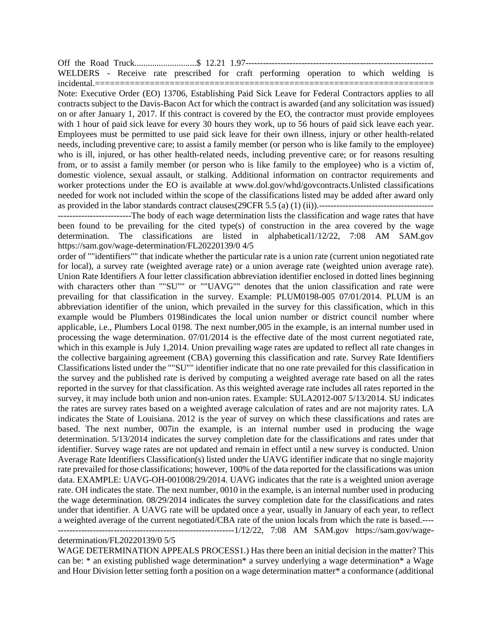Off the Road Truck............................\$ 12.21 1.97---------------------------------------------------------------- WELDERS - Receive rate prescribed for craft performing operation to which welding is incidental.====================================================================

Note: Executive Order (EO) 13706, Establishing Paid Sick Leave for Federal Contractors applies to all contracts subject to the Davis-Bacon Act for which the contract is awarded (and any solicitation was issued) on or after January 1, 2017. If this contract is covered by the EO, the contractor must provide employees with 1 hour of paid sick leave for every 30 hours they work, up to 56 hours of paid sick leave each year. Employees must be permitted to use paid sick leave for their own illness, injury or other health-related needs, including preventive care; to assist a family member (or person who is like family to the employee) who is ill, injured, or has other health-related needs, including preventive care; or for reasons resulting from, or to assist a family member (or person who is like family to the employee) who is a victim of, domestic violence, sexual assault, or stalking. Additional information on contractor requirements and worker protections under the EO is available at www.dol.gov/whd/govcontracts.Unlisted classifications needed for work not included within the scope of the classifications listed may be added after award only as provided in the labor standards contract clauses(29CFR 5.5 (a) (1) (ii)).---------------------------------------

-------------------------The body of each wage determination lists the classification and wage rates that have been found to be prevailing for the cited type(s) of construction in the area covered by the wage determination. The classifications are listed in alphabetical  $1/12/22$ , 7:08 AM SAM.gov https://sam.gov/wage-determination/FL20220139/0 4/5

order of ""identifiers"" that indicate whether the particular rate is a union rate (current union negotiated rate for local), a survey rate (weighted average rate) or a union average rate (weighted union average rate). Union Rate Identifiers A four letter classification abbreviation identifier enclosed in dotted lines beginning with characters other than ""SU"" or ""UAVG"" denotes that the union classification and rate were prevailing for that classification in the survey. Example: PLUM0198-005 07/01/2014. PLUM is an abbreviation identifier of the union, which prevailed in the survey for this classification, which in this example would be Plumbers 0198indicates the local union number or district council number where applicable, i.e., Plumbers Local 0198. The next number,005 in the example, is an internal number used in processing the wage determination.  $07/01/2014$  is the effective date of the most current negotiated rate, which in this example is July 1,2014. Union prevailing wage rates are updated to reflect all rate changes in the collective bargaining agreement (CBA) governing this classification and rate. Survey Rate Identifiers Classifications listed under the ""SU"" identifier indicate that no one rate prevailed for this classification in the survey and the published rate is derived by computing a weighted average rate based on all the rates reported in the survey for that classification. As this weighted average rate includes all rates reported in the survey, it may include both union and non-union rates. Example: SULA2012-007 5/13/2014. SU indicates the rates are survey rates based on a weighted average calculation of rates and are not majority rates. LA indicates the State of Louisiana. 2012 is the year of survey on which these classifications and rates are based. The next number, 007in the example, is an internal number used in producing the wage determination. 5/13/2014 indicates the survey completion date for the classifications and rates under that identifier. Survey wage rates are not updated and remain in effect until a new survey is conducted. Union Average Rate Identifiers Classification(s) listed under the UAVG identifier indicate that no single majority rate prevailed for those classifications; however, 100% of the data reported for the classifications was union data. EXAMPLE: UAVG-OH-001008/29/2014. UAVG indicates that the rate is a weighted union average rate. OH indicates the state. The next number, 0010 in the example, is an internal number used in producing the wage determination. 08/29/2014 indicates the survey completion date for the classifications and rates under that identifier. A UAVG rate will be updated once a year, usually in January of each year, to reflect a weighted average of the current negotiated/CBA rate of the union locals from which the rate is based.---- ------------------------------------------------------------1/12/22, 7:08 AM SAM.gov https://sam.gov/wage-

### determination/FL20220139/0 5/5

WAGE DETERMINATION APPEALS PROCESS1.) Has there been an initial decision in the matter? This can be: \* an existing published wage determination\* a survey underlying a wage determination\* a Wage and Hour Division letter setting forth a position on a wage determination matter\* a conformance (additional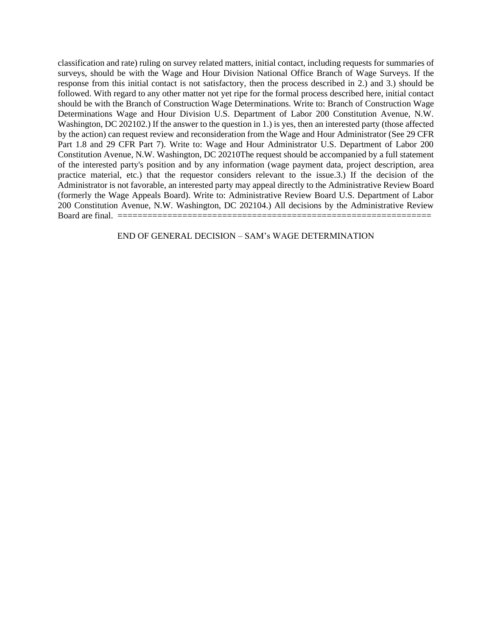classification and rate) ruling on survey related matters, initial contact, including requests for summaries of surveys, should be with the Wage and Hour Division National Office Branch of Wage Surveys. If the response from this initial contact is not satisfactory, then the process described in 2.) and 3.) should be followed. With regard to any other matter not yet ripe for the formal process described here, initial contact should be with the Branch of Construction Wage Determinations. Write to: Branch of Construction Wage Determinations Wage and Hour Division U.S. Department of Labor 200 Constitution Avenue, N.W. Washington, DC 202102.) If the answer to the question in 1.) is yes, then an interested party (those affected by the action) can request review and reconsideration from the Wage and Hour Administrator (See 29 CFR Part 1.8 and 29 CFR Part 7). Write to: Wage and Hour Administrator U.S. Department of Labor 200 Constitution Avenue, N.W. Washington, DC 20210The request should be accompanied by a full statement of the interested party's position and by any information (wage payment data, project description, area practice material, etc.) that the requestor considers relevant to the issue.3.) If the decision of the Administrator is not favorable, an interested party may appeal directly to the Administrative Review Board (formerly the Wage Appeals Board). Write to: Administrative Review Board U.S. Department of Labor 200 Constitution Avenue, N.W. Washington, DC 202104.) All decisions by the Administrative Review Board are final. ===============================================================

#### END OF GENERAL DECISION – SAM's WAGE DETERMINATION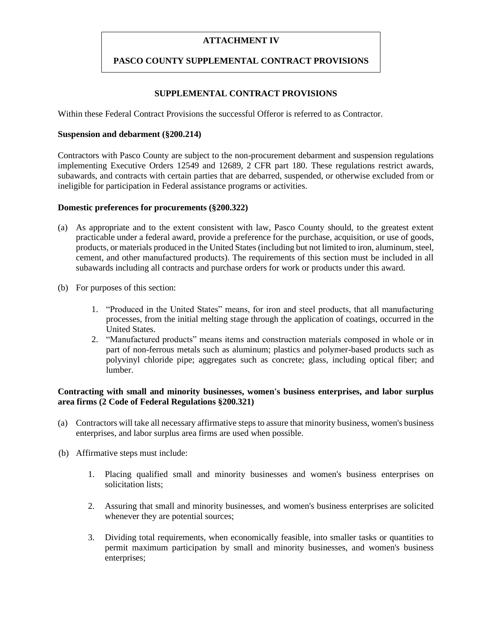# **ATTACHMENT IV**

# **PASCO COUNTY SUPPLEMENTAL CONTRACT PROVISIONS**

### **SUPPLEMENTAL CONTRACT PROVISIONS**

Within these Federal Contract Provisions the successful Offeror is referred to as Contractor.

### **Suspension and debarment (§200.214)**

Contractors with Pasco County are subject to the non-procurement debarment and suspension regulations implementing Executive Orders 12549 and 12689, 2 CFR part 180. These regulations restrict awards, subawards, and contracts with certain parties that are debarred, suspended, or otherwise excluded from or ineligible for participation in Federal assistance programs or activities.

### **Domestic preferences for procurements (§200.322)**

- (a) As appropriate and to the extent consistent with law, Pasco County should, to the greatest extent practicable under a federal award, provide a preference for the purchase, acquisition, or use of goods, products, or materials produced in the United States (including but not limited to iron, aluminum, steel, cement, and other manufactured products). The requirements of this section must be included in all subawards including all contracts and purchase orders for work or products under this award.
- (b) For purposes of this section:
	- 1. "Produced in the United States" means, for iron and steel products, that all manufacturing processes, from the initial melting stage through the application of coatings, occurred in the United States.
	- 2. "Manufactured products" means items and construction materials composed in whole or in part of non-ferrous metals such as aluminum; plastics and polymer-based products such as polyvinyl chloride pipe; aggregates such as concrete; glass, including optical fiber; and lumber.

### **Contracting with small and minority businesses, women's business enterprises, and labor surplus area firms (2 Code of Federal Regulations §200.321)**

- (a) Contractors will take all necessary affirmative steps to assure that minority business, women's business enterprises, and labor surplus area firms are used when possible.
- (b) Affirmative steps must include:
	- 1. Placing qualified small and minority businesses and women's business enterprises on solicitation lists;
	- 2. Assuring that small and minority businesses, and women's business enterprises are solicited whenever they are potential sources;
	- 3. Dividing total requirements, when economically feasible, into smaller tasks or quantities to permit maximum participation by small and minority businesses, and women's business enterprises;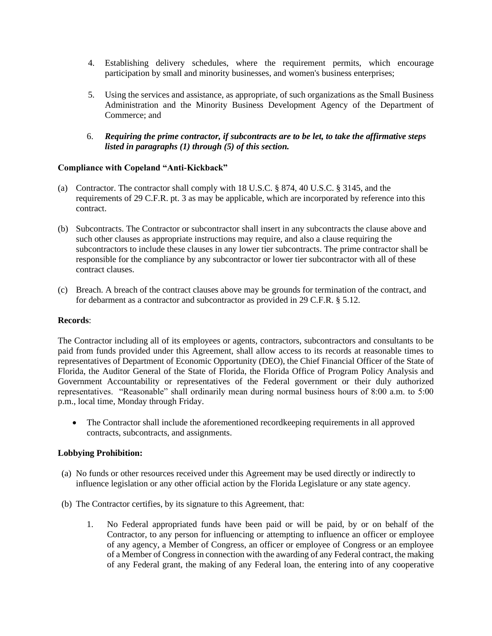- 4. Establishing delivery schedules, where the requirement permits, which encourage participation by small and minority businesses, and women's business enterprises;
- 5. Using the services and assistance, as appropriate, of such organizations as the Small Business Administration and the Minority Business Development Agency of the Department of Commerce; and
- 6. *Requiring the prime contractor, if subcontracts are to be let, to take the affirmative steps listed in paragraphs (1) through (5) of this section.*

# **Compliance with Copeland "Anti-Kickback"**

- (a) Contractor. The contractor shall comply with 18 U.S.C. § 874, 40 U.S.C. § 3145, and the requirements of 29 C.F.R. pt. 3 as may be applicable, which are incorporated by reference into this contract.
- (b) Subcontracts. The Contractor or subcontractor shall insert in any subcontracts the clause above and such other clauses as appropriate instructions may require, and also a clause requiring the subcontractors to include these clauses in any lower tier subcontracts. The prime contractor shall be responsible for the compliance by any subcontractor or lower tier subcontractor with all of these contract clauses.
- (c) Breach. A breach of the contract clauses above may be grounds for termination of the contract, and for debarment as a contractor and subcontractor as provided in 29 C.F.R. § 5.12.

### **Records**:

The Contractor including all of its employees or agents, contractors, subcontractors and consultants to be paid from funds provided under this Agreement, shall allow access to its records at reasonable times to representatives of Department of Economic Opportunity (DEO), the Chief Financial Officer of the State of Florida, the Auditor General of the State of Florida, the Florida Office of Program Policy Analysis and Government Accountability or representatives of the Federal government or their duly authorized representatives. "Reasonable" shall ordinarily mean during normal business hours of 8:00 a.m. to 5:00 p.m., local time, Monday through Friday.

• The Contractor shall include the aforementioned record keeping requirements in all approved contracts, subcontracts, and assignments.

### **Lobbying Prohibition:**

- (a) No funds or other resources received under this Agreement may be used directly or indirectly to influence legislation or any other official action by the Florida Legislature or any state agency.
- (b) The Contractor certifies, by its signature to this Agreement, that:
	- 1. No Federal appropriated funds have been paid or will be paid, by or on behalf of the Contractor, to any person for influencing or attempting to influence an officer or employee of any agency, a Member of Congress, an officer or employee of Congress or an employee of a Member of Congress in connection with the awarding of any Federal contract, the making of any Federal grant, the making of any Federal loan, the entering into of any cooperative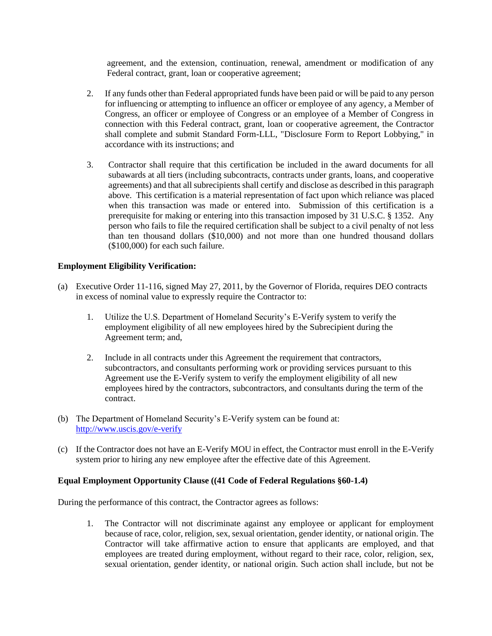agreement, and the extension, continuation, renewal, amendment or modification of any Federal contract, grant, loan or cooperative agreement;

- 2. If any funds other than Federal appropriated funds have been paid or will be paid to any person for influencing or attempting to influence an officer or employee of any agency, a Member of Congress, an officer or employee of Congress or an employee of a Member of Congress in connection with this Federal contract, grant, loan or cooperative agreement, the Contractor shall complete and submit Standard Form-LLL, "Disclosure Form to Report Lobbying," in accordance with its instructions; and
- 3. Contractor shall require that this certification be included in the award documents for all subawards at all tiers (including subcontracts, contracts under grants, loans, and cooperative agreements) and that all subrecipients shall certify and disclose as described in this paragraph above. This certification is a material representation of fact upon which reliance was placed when this transaction was made or entered into. Submission of this certification is a prerequisite for making or entering into this transaction imposed by 31 U.S.C. § 1352. Any person who fails to file the required certification shall be subject to a civil penalty of not less than ten thousand dollars (\$10,000) and not more than one hundred thousand dollars (\$100,000) for each such failure.

### **Employment Eligibility Verification:**

- (a) Executive Order 11-116, signed May 27, 2011, by the Governor of Florida, requires DEO contracts in excess of nominal value to expressly require the Contractor to:
	- 1. Utilize the U.S. Department of Homeland Security's E-Verify system to verify the employment eligibility of all new employees hired by the Subrecipient during the Agreement term; and,
	- 2. Include in all contracts under this Agreement the requirement that contractors, subcontractors, and consultants performing work or providing services pursuant to this Agreement use the E-Verify system to verify the employment eligibility of all new employees hired by the contractors, subcontractors, and consultants during the term of the contract.
- (b) The Department of Homeland Security's E-Verify system can be found at: <http://www.uscis.gov/e-verify>
- (c) If the Contractor does not have an E-Verify MOU in effect, the Contractor must enroll in the E-Verify system prior to hiring any new employee after the effective date of this Agreement.

### **Equal Employment Opportunity Clause ((41 Code of Federal Regulations §60-1.4)**

During the performance of this contract, the Contractor agrees as follows:

1. The Contractor will not discriminate against any employee or applicant for employment because of race, color, religion, sex, sexual orientation, gender identity, or national origin. The Contractor will take affirmative action to ensure that applicants are employed, and that employees are treated during employment, without regard to their race, color, religion, sex, sexual orientation, gender identity, or national origin. Such action shall include, but not be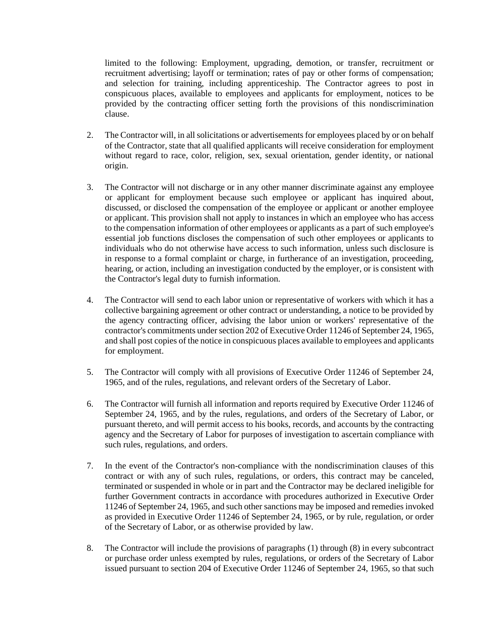limited to the following: Employment, upgrading, demotion, or transfer, recruitment or recruitment advertising; layoff or termination; rates of pay or other forms of compensation; and selection for training, including apprenticeship. The Contractor agrees to post in conspicuous places, available to employees and applicants for employment, notices to be provided by the contracting officer setting forth the provisions of this nondiscrimination clause.

- 2. The Contractor will, in all solicitations or advertisements for employees placed by or on behalf of the Contractor, state that all qualified applicants will receive consideration for employment without regard to race, color, religion, sex, sexual orientation, gender identity, or national origin.
- 3. The Contractor will not discharge or in any other manner discriminate against any employee or applicant for employment because such employee or applicant has inquired about, discussed, or disclosed the compensation of the employee or applicant or another employee or applicant. This provision shall not apply to instances in which an employee who has access to the compensation information of other employees or applicants as a part of such employee's essential job functions discloses the compensation of such other employees or applicants to individuals who do not otherwise have access to such information, unless such disclosure is in response to a formal complaint or charge, in furtherance of an investigation, proceeding, hearing, or action, including an investigation conducted by the employer, or is consistent with the Contractor's legal duty to furnish information.
- 4. The Contractor will send to each labor union or representative of workers with which it has a collective bargaining agreement or other contract or understanding, a notice to be provided by the agency contracting officer, advising the labor union or workers' representative of the contractor's commitments under section 202 of Executive Order 11246 of September 24, 1965, and shall post copies of the notice in conspicuous places available to employees and applicants for employment.
- 5. The Contractor will comply with all provisions of Executive Order 11246 of September 24, 1965, and of the rules, regulations, and relevant orders of the Secretary of Labor.
- 6. The Contractor will furnish all information and reports required by Executive Order 11246 of September 24, 1965, and by the rules, regulations, and orders of the Secretary of Labor, or pursuant thereto, and will permit access to his books, records, and accounts by the contracting agency and the Secretary of Labor for purposes of investigation to ascertain compliance with such rules, regulations, and orders.
- 7. In the event of the Contractor's non-compliance with the nondiscrimination clauses of this contract or with any of such rules, regulations, or orders, this contract may be canceled, terminated or suspended in whole or in part and the Contractor may be declared ineligible for further Government contracts in accordance with procedures authorized in Executive Order 11246 of September 24, 1965, and such other sanctions may be imposed and remedies invoked as provided in Executive Order 11246 of September 24, 1965, or by rule, regulation, or order of the Secretary of Labor, or as otherwise provided by law.
- 8. The Contractor will include the provisions of paragraphs (1) through (8) in every subcontract or purchase order unless exempted by rules, regulations, or orders of the Secretary of Labor issued pursuant to section 204 of Executive Order 11246 of September 24, 1965, so that such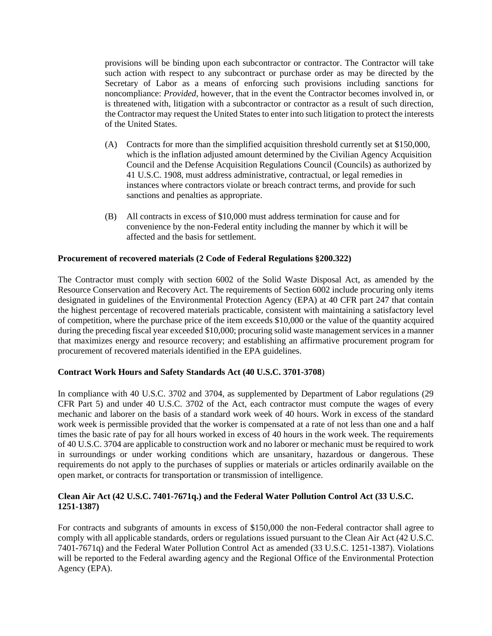provisions will be binding upon each subcontractor or contractor. The Contractor will take such action with respect to any subcontract or purchase order as may be directed by the Secretary of Labor as a means of enforcing such provisions including sanctions for noncompliance: *Provided,* however, that in the event the Contractor becomes involved in, or is threatened with, litigation with a subcontractor or contractor as a result of such direction, the Contractor may request the United States to enter into such litigation to protect the interests of the United States.

- (A) Contracts for more than the simplified acquisition threshold currently set at \$150,000, which is the inflation adjusted amount determined by the Civilian Agency Acquisition Council and the Defense Acquisition Regulations Council (Councils) as authorized by 41 U.S.C. 1908, must address administrative, contractual, or legal remedies in instances where contractors violate or breach contract terms, and provide for such sanctions and penalties as appropriate.
- (B) All contracts in excess of \$10,000 must address termination for cause and for convenience by the non-Federal entity including the manner by which it will be affected and the basis for settlement.

### **Procurement of recovered materials (2 Code of Federal Regulations §200.322)**

The Contractor must comply with section 6002 of the Solid Waste Disposal Act, as amended by the Resource Conservation and Recovery Act. The requirements of Section 6002 include procuring only items designated in guidelines of the Environmental Protection Agency (EPA) at 40 CFR part 247 that contain the highest percentage of recovered materials practicable, consistent with maintaining a satisfactory level of competition, where the purchase price of the item exceeds \$10,000 or the value of the quantity acquired during the preceding fiscal year exceeded \$10,000; procuring solid waste management services in a manner that maximizes energy and resource recovery; and establishing an affirmative procurement program for procurement of recovered materials identified in the EPA guidelines.

#### **Contract Work Hours and Safety Standards Act (40 U.S.C. 3701-3708**)

In compliance with 40 U.S.C. 3702 and 3704, as supplemented by Department of Labor regulations (29 CFR Part 5) and under 40 U.S.C. 3702 of the Act, each contractor must compute the wages of every mechanic and laborer on the basis of a standard work week of 40 hours. Work in excess of the standard work week is permissible provided that the worker is compensated at a rate of not less than one and a half times the basic rate of pay for all hours worked in excess of 40 hours in the work week. The requirements of 40 U.S.C. 3704 are applicable to construction work and no laborer or mechanic must be required to work in surroundings or under working conditions which are unsanitary, hazardous or dangerous. These requirements do not apply to the purchases of supplies or materials or articles ordinarily available on the open market, or contracts for transportation or transmission of intelligence.

### **Clean Air Act (42 U.S.C. 7401-7671q.) and the Federal Water Pollution Control Act (33 U.S.C. 1251-1387)**

For contracts and subgrants of amounts in excess of \$150,000 the non-Federal contractor shall agree to comply with all applicable standards, orders or regulations issued pursuant to the Clean Air Act (42 U.S.C. 7401-7671q) and the Federal Water Pollution Control Act as amended (33 U.S.C. 1251-1387). Violations will be reported to the Federal awarding agency and the Regional Office of the Environmental Protection Agency (EPA).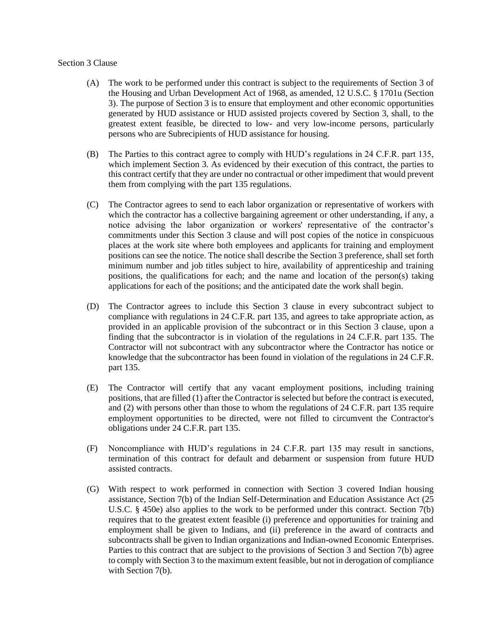#### Section 3 Clause

- (A) The work to be performed under this contract is subject to the requirements of Section 3 of the Housing and Urban Development Act of 1968, as amended, 12 U.S.C. § 1701u (Section 3). The purpose of Section 3 is to ensure that employment and other economic opportunities generated by HUD assistance or HUD assisted projects covered by Section 3, shall, to the greatest extent feasible, be directed to low- and very low-income persons, particularly persons who are Subrecipients of HUD assistance for housing.
- (B) The Parties to this contract agree to comply with HUD's regulations in 24 C.F.R. part 135, which implement Section 3. As evidenced by their execution of this contract, the parties to this contract certify that they are under no contractual or other impediment that would prevent them from complying with the part 135 regulations.
- (C) The Contractor agrees to send to each labor organization or representative of workers with which the contractor has a collective bargaining agreement or other understanding, if any, a notice advising the labor organization or workers' representative of the contractor's commitments under this Section 3 clause and will post copies of the notice in conspicuous places at the work site where both employees and applicants for training and employment positions can see the notice. The notice shall describe the Section 3 preference, shall set forth minimum number and job titles subject to hire, availability of apprenticeship and training positions, the qualifications for each; and the name and location of the person(s) taking applications for each of the positions; and the anticipated date the work shall begin.
- (D) The Contractor agrees to include this Section 3 clause in every subcontract subject to compliance with regulations in 24 C.F.R. part 135, and agrees to take appropriate action, as provided in an applicable provision of the subcontract or in this Section 3 clause, upon a finding that the subcontractor is in violation of the regulations in 24 C.F.R. part 135. The Contractor will not subcontract with any subcontractor where the Contractor has notice or knowledge that the subcontractor has been found in violation of the regulations in 24 C.F.R. part 135.
- (E) The Contractor will certify that any vacant employment positions, including training positions, that are filled (1) after the Contractor is selected but before the contract is executed, and (2) with persons other than those to whom the regulations of 24 C.F.R. part 135 require employment opportunities to be directed, were not filled to circumvent the Contractor's obligations under 24 C.F.R. part 135.
- (F) Noncompliance with HUD's regulations in 24 C.F.R. part 135 may result in sanctions, termination of this contract for default and debarment or suspension from future HUD assisted contracts.
- (G) With respect to work performed in connection with Section 3 covered Indian housing assistance, Section 7(b) of the Indian Self-Determination and Education Assistance Act (25 U.S.C. § 450e) also applies to the work to be performed under this contract. Section 7(b) requires that to the greatest extent feasible (i) preference and opportunities for training and employment shall be given to Indians, and (ii) preference in the award of contracts and subcontracts shall be given to Indian organizations and Indian-owned Economic Enterprises. Parties to this contract that are subject to the provisions of Section 3 and Section 7(b) agree to comply with Section 3 to the maximum extent feasible, but not in derogation of compliance with Section 7(b).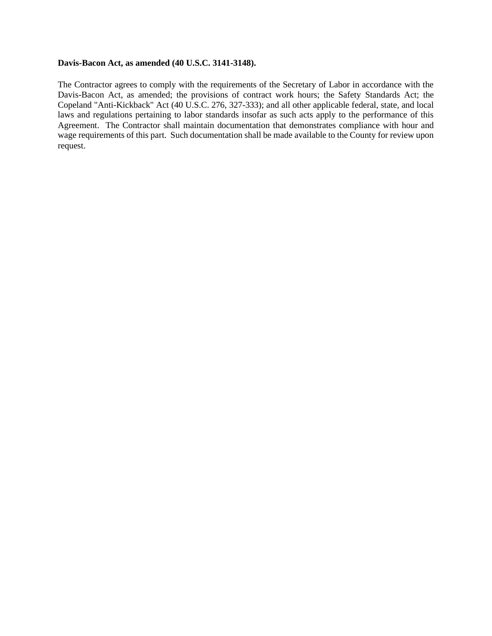#### **Davis-Bacon Act, as amended (40 U.S.C. 3141-3148).**

The Contractor agrees to comply with the requirements of the Secretary of Labor in accordance with the Davis-Bacon Act, as amended; the provisions of contract work hours; the Safety Standards Act; the Copeland "Anti-Kickback" Act (40 U.S.C. 276, 327-333); and all other applicable federal, state, and local laws and regulations pertaining to labor standards insofar as such acts apply to the performance of this Agreement. The Contractor shall maintain documentation that demonstrates compliance with hour and wage requirements of this part. Such documentation shall be made available to the County for review upon request.